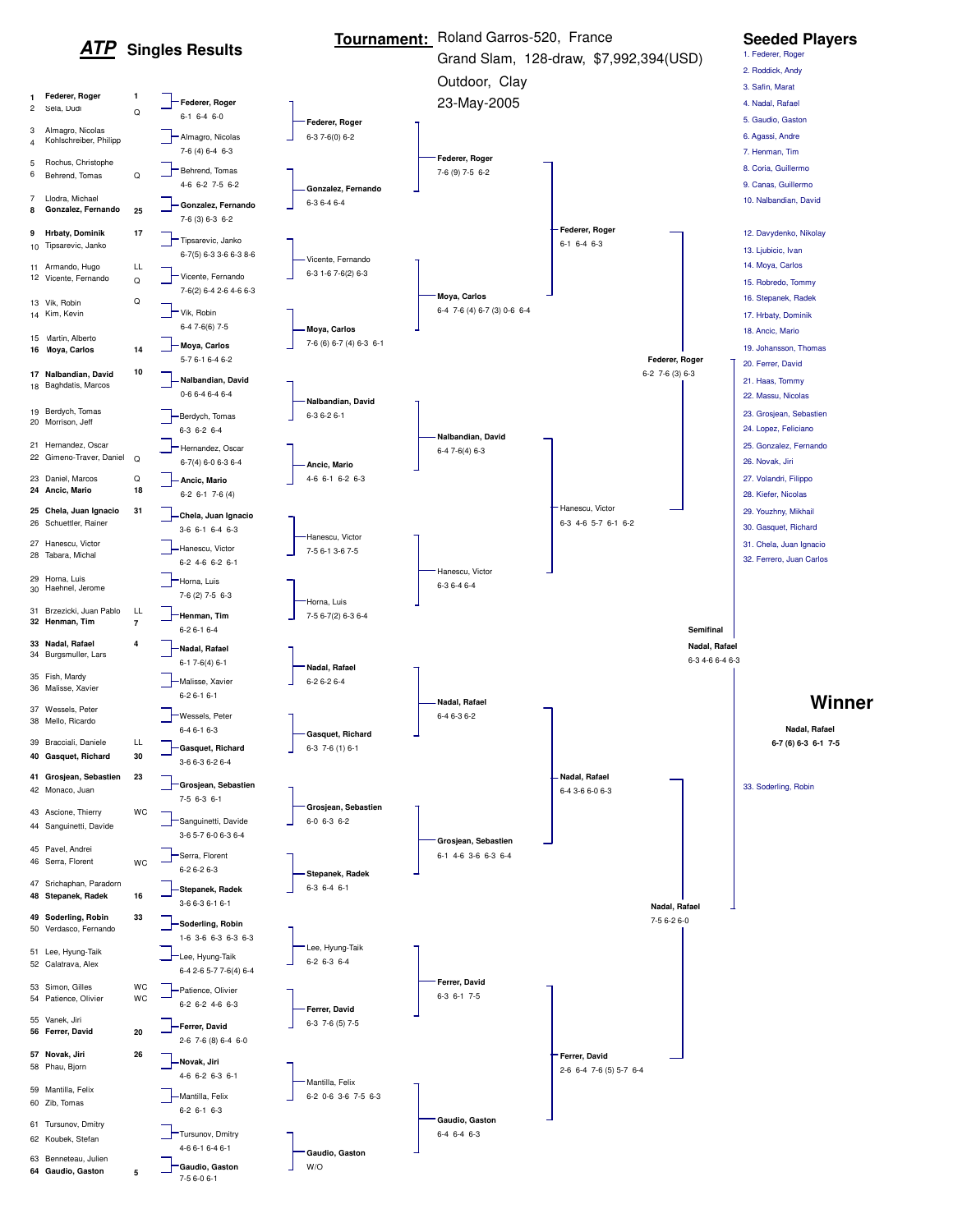